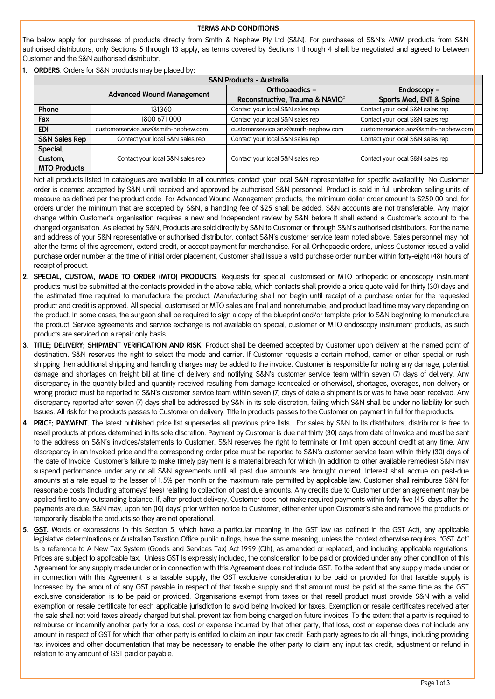## **TERMS AND CONDITIONS**

The below apply for purchases of products directly from Smith & Nephew Pty Ltd (S&N). For purchases of S&N's AWM products from S&N authorised distributors, only Sections 5 through 13 apply, as terms covered by Sections 1 through 4 shall be negotiated and agreed to between Customer and the S&N authorised distributor.

**1. ORDERS**. Orders for S&N products may be placed by:

| <b>S&amp;N Products - Australia</b> |                                      |                                             |                                      |  |
|-------------------------------------|--------------------------------------|---------------------------------------------|--------------------------------------|--|
|                                     | <b>Advanced Wound Management</b>     | Orthopaedics-                               | Endoscopy $-$                        |  |
|                                     |                                      | Reconstructive, Trauma & NAVIO <sup>®</sup> | Sports Med, ENT & Spine              |  |
| Phone                               | 131360                               | Contact your local S&N sales rep            | Contact your local S&N sales rep     |  |
| Fax                                 | 1800 671 000                         | Contact your local S&N sales rep            | Contact your local S&N sales rep     |  |
| <b>EDI</b>                          | customerservice.anz@smith-nephew.com | customerservice.anz@smith-nephew.com        | customerservice.anz@smith-nephew.com |  |
| <b>S&amp;N Sales Rep</b>            | Contact your local S&N sales rep     | Contact your local S&N sales rep            | Contact your local S&N sales rep     |  |
| Special,                            |                                      |                                             |                                      |  |
| Custom,                             | Contact your local S&N sales rep     | Contact your local S&N sales rep            | Contact your local S&N sales rep     |  |
| <b>MTO Products</b>                 |                                      |                                             |                                      |  |

Not all products listed in catalogues are available in all countries; contact your local S&N representative for specific availability. No Customer order is deemed accepted by S&N until received and approved by authorised S&N personnel. Product is sold in full unbroken selling units of measure as defined per the product code. For Advanced Wound Management products, the minimum dollar order amount is \$250.00 and, for orders under the minimum that are accepted by S&N, a handling fee of \$25 shall be added. S&N accounts are not transferable. Any major change within Customer's organisation requires a new and independent review by S&N before it shall extend a Customer's account to the changed organisation. As elected by S&N, Products are sold directly by S&N to Customer or through S&N's authorised distributors. For the name and address of your S&N representative or authorised distributor, contact S&N's customer service team noted above. Sales personnel may not alter the terms of this agreement, extend credit, or accept payment for merchandise. For all Orthopaedic orders, unless Customer issued a valid purchase order number at the time of initial order placement, Customer shall issue a valid purchase order number within forty-eight (48) hours of receipt of product.

- **2. SPECIAL, CUSTOM, MADE TO ORDER (MTO) PRODUCTS**. Requests for special, customised or MTO orthopedic or endoscopy instrument products must be submitted at the contacts provided in the above table, which contacts shall provide a price quote valid for thirty (30) days and the estimated time required to manufacture the product. Manufacturing shall not begin until receipt of a purchase order for the requested product and credit is approved. All special, customised or MTO sales are final and nonreturnable, and product lead time may vary depending on the product. In some cases, the surgeon shall be required to sign a copy of the blueprint and/or template prior to S&N beginning to manufacture the product. Service agreements and service exchange is not available on special, customer or MTO endoscopy instrument products, as such products are serviced on a repair only basis.
- **3. TITLE; DELIVERY; SHIPMENT VERIFICATION AND RISK.** Product shall be deemed accepted by Customer upon delivery at the named point of destination. S&N reserves the right to select the mode and carrier. If Customer requests a certain method, carrier or other special or rush shipping then additional shipping and handling charges may be added to the invoice. Customer is responsible for noting any damage, potential damage and shortages on freight bill at time of delivery and notifying S&N's customer service team within seven (7) days of delivery. Any discrepancy in the quantity billed and quantity received resulting from damage (concealed or otherwise), shortages, overages, non-delivery or wrong product must be reported to S&N's customer service team within seven (7) days of date a shipment is or was to have been received. Any discrepancy reported after seven (7) days shall be addressed by S&N in its sole discretion, failing which S&N shall be under no liability for such issues. All risk for the products passes to Customer on delivery. Title in products passes to the Customer on payment in full for the products.
- **4. PRICE; PAYMENT.** The latest published price list supersedes all previous price lists. For sales by S&N to its distributors, distributor is free to resell products at prices determined in its sole discretion. Payment by Customer is due net thirty (30) days from date of invoice and must be sent to the address on S&N's invoices/statements to Customer. S&N reserves the right to terminate or limit open account credit at any time. Any discrepancy in an invoiced price and the corresponding order price must be reported to S&N's customer service team within thirty (30) days of the date of invoice. Customer's failure to make timely payment is a material breach for which (in addition to other available remedies) S&N may suspend performance under any or all S&N agreements until all past due amounts are brought current. Interest shall accrue on past-due amounts at a rate equal to the lesser of 1.5% per month or the maximum rate permitted by applicable law. Customer shall reimburse S&N for reasonable costs (including attorneys' fees) relating to collection of past due amounts. Any credits due to Customer under an agreement may be applied first to any outstanding balance. If, after product delivery, Customer does not make required payments within forty-five (45) days after the payments are due, S&N may, upon ten (10) days' prior written notice to Customer, either enter upon Customer's site and remove the products or temporarily disable the products so they are not operational.
- **5. GST.** Words or expressions in this Section 5, which have a particular meaning in the GST law (as defined in the GST Act), any applicable legislative determinations or Australian Taxation Office public rulings, have the same meaning, unless the context otherwise requires. "GST Act" is a reference to A New Tax System (Goods and Services Tax) Act 1999 (Cth), as amended or replaced, and including applicable regulations. Prices are subject to applicable tax. Unless GST is expressly included, the consideration to be paid or provided under any other condition of this Agreement for any supply made under or in connection with this Agreement does not include GST. To the extent that any supply made under or in connection with this Agreement is a taxable supply, the GST exclusive consideration to be paid or provided for that taxable supply is increased by the amount of any GST payable in respect of that taxable supply and that amount must be paid at the same time as the GST exclusive consideration is to be paid or provided. Organisations exempt from taxes or that resell product must provide S&N with a valid exemption or resale certificate for each applicable jurisdiction to avoid being invoiced for taxes. Exemption or resale certificates received after the sale shall not void taxes already charged but shall prevent tax from being charged on future invoices. To the extent that a party is required to reimburse or indemnify another party for a loss, cost or expense incurred by that other party, that loss, cost or expense does not include any amount in respect of GST for which that other party is entitled to claim an input tax credit. Each party agrees to do all things, including providing tax invoices and other documentation that may be necessary to enable the other party to claim any input tax credit, adjustment or refund in relation to any amount of GST paid or payable.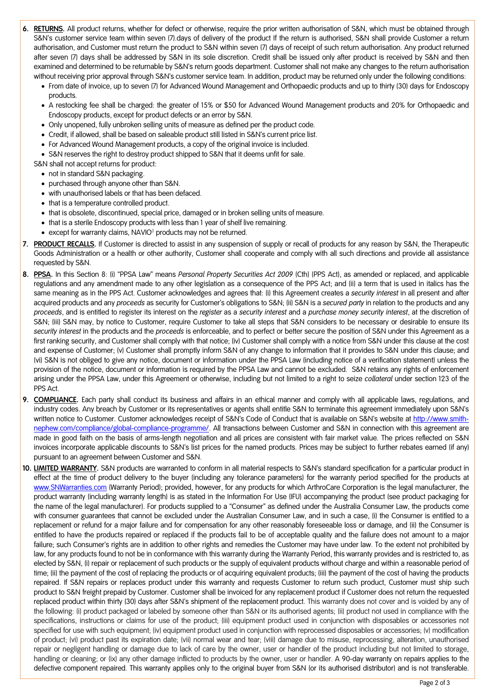- **6. RETURNS.** All product returns, whether for defect or otherwise, require the prior written authorisation of S&N, which must be obtained through S&N's customer service team within seven (7).days of delivery of the product If the return is authorised, S&N shall provide Customer a return authorisation, and Customer must return the product to S&N within seven (7) days of receipt of such return authorisation. Any product returned after seven (7) days shall be addressed by S&N in its sole discretion. Credit shall be issued only after product is received by S&N and then examined and determined to be returnable by S&N's return goods department. Customer shall not make any changes to the return authorisation without receiving prior approval through S&N's customer service team. In addition, product may be returned only under the following conditions:
	- From date of invoice, up to seven (7) for Advanced Wound Management and Orthopaedic products and up to thirty (30) days for Endoscopy products.
	- A restocking fee shall be charged: the greater of 15% or \$50 for Advanced Wound Management products and 20% for Orthopaedic and Endoscopy products, except for product defects or an error by S&N.
	- Only unopened, fully unbroken selling units of measure as defined per the product code.
	- Credit, if allowed, shall be based on saleable product still listed in S&N's current price list.
	- For Advanced Wound Management products, a copy of the original invoice is included.
	- S&N reserves the right to destroy product shipped to S&N that it deems unfit for sale.

S&N shall not accept returns for product:

- not in standard S&N packaging.
- purchased through anyone other than S&N.
- with unauthorised labels or that has been defaced.
- that is a temperature controlled product.
- that is obsolete, discontinued, special price, damaged or in broken selling units of measure.
- that is a sterile Endoscopy products with less than 1 year of shelf live remaining.
- except for warranty claims, NAVIO $^{\circ}$  products may not be returned.
- **7. PRODUCT RECALLS.** If Customer is directed to assist in any suspension of supply or recall of products for any reason by S&N, the Therapeutic Goods Administration or a health or other authority, Customer shall cooperate and comply with all such directions and provide all assistance requested by S&N.
- **8. PPSA.** In this Section 8: (i) "PPSA Law" means *Personal Property Securities Act 2009* (Cth) (PPS Act), as amended or replaced, and applicable regulations and any amendment made to any other legislation as a consequence of the PPS Act; and (ii) a term that is used in italics has the same meaning as in the PPS Act. Customer acknowledges and agrees that: (i) this Agreement creates a *security interest* in all present and after acquired products and any *proceeds* as security for Customer's obligations to S&N; (ii) S&N is a *secured party* in relation to the products and any *proceeds*, and is entitled to register its interest on the *register* as a *security interest* and a *purchase money security interest*, at the discretion of S&N; (iii) S&N may, by notice to Customer, require Customer to take all steps that S&N considers to be necessary or desirable to ensure its *security interest* in the products and the *proceeds* is enforceable, and to perfect or better secure the position of S&N under this Agreement as a first ranking security, and Customer shall comply with that notice; (iv) Customer shall comply with a notice from S&N under this clause at the cost and expense of Customer; (v) Customer shall promptly inform S&N of any change to information that it provides to S&N under this clause; and (vi) S&N is not obliged to give any notice, document or information under the PPSA Law (including notice of a verification statement) unless the provision of the notice, document or information is required by the PPSA Law and cannot be excluded. S&N retains any rights of enforcement arising under the PPSA Law, under this Agreement or otherwise, including but not limited to a right to seize *collateral* under section 123 of the PPS Act.
- **9. COMPLIANCE.** Each party shall conduct its business and affairs in an ethical manner and comply with all applicable laws, regulations, and industry codes. Any breach by Customer or its representatives or agents shall entitle S&N to terminate this agreement immediately upon S&N's written notice to Customer. Customer acknowledges receipt of S&N's Code of Conduct that is available on S&N's website at [http://www.smith](http://www.smith-nephew.com/compliance/global-compliance-programme/)[nephew.com/compliance/global-compliance-programme/.](http://www.smith-nephew.com/compliance/global-compliance-programme/) All transactions between Customer and S&N in connection with this agreement are made in good faith on the basis of arms-length negotiation and all prices are consistent with fair market value. The prices reflected on S&N invoices incorporate applicable discounts to S&N's list prices for the named products. Prices may be subject to further rebates earned (if any) pursuant to an agreement between Customer and S&N.
- **10. LIMITED WARRANTY.** S&N products are warranted to conform in all material respects to S&N's standard specification for a particular product in effect at the time of product delivery to the buyer (including any tolerance parameters) for the warranty period specified for the products at [www.SNWarranties.com](http://www.snwarranties.com/) (Warranty Period); provided, however, for any products for which ArthroCare Corporation is the legal manufacturer, the product warranty (including warranty length) is as stated in the Information For Use (IFU) accompanying the product (see product packaging for the name of the legal manufacturer). For products supplied to a "Consumer" as defined under the Australia Consumer Law, the products come with consumer guarantees that cannot be excluded under the Australian Consumer Law, and in such a case, (i) the Consumer is entitled to a replacement or refund for a major failure and for compensation for any other reasonably foreseeable loss or damage, and (ii) the Consumer is entitled to have the products repaired or replaced if the products fail to be of acceptable quality and the failure does not amount to a major failure; such Consumer's rights are in addition to other rights and remedies the Customer may have under law. To the extent not prohibited by law, for any products found to not be in conformance with this warranty during the Warranty Period, this warranty provides and is restricted to, as elected by S&N, (i) repair or replacement of such products or the supply of equivalent products without charge and within a reasonable period of time; (ii) the payment of the cost of replacing the products or of acquiring equivalent products; (iii) the payment of the cost of having the products repaired. If S&N repairs or replaces product under this warranty and requests Customer to return such product, Customer must ship such product to S&N freight prepaid by Customer. Customer shall be invoiced for any replacement product if Customer does not return the requested replaced product within thirty (30) days after S&N's shipment of the replacement product. This warranty does not cover and is voided by any of the following: (i) product packaged or labeled by someone other than S&N or its authorised agents; (ii) product not used in compliance with the specifications, instructions or claims for use of the product; (iii) equipment product used in conjunction with disposables or accessories not specified for use with such equipment; (iv) equipment product used in conjunction with reprocessed disposables or accessories; (v) modification of product; (vi) product past its expiration date; (vii) normal wear and tear; (viii) damage due to misuse, reprocessing, alteration, unauthorised repair or negligent handling or damage due to lack of care by the owner, user or handler of the product including but not limited to storage, handling or cleaning; or (ix) any other damage inflicted to products by the owner, user or handler. A 90-day warranty on repairs applies to the defective component repaired. This warranty applies only to the original buyer from S&N (or its authorised distributor) and is not transferable.